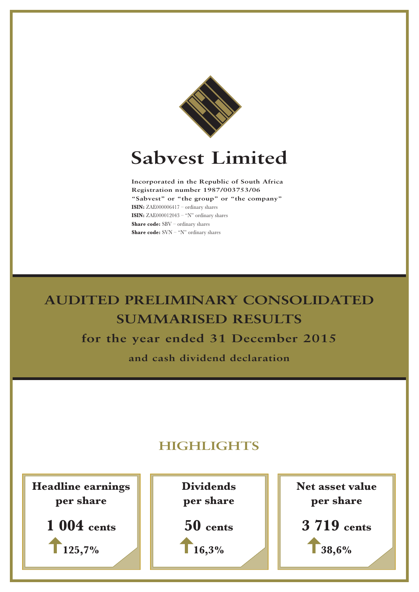

# **Sabvest Limited**

**Incorporated in the Republic of South Africa Registration number 1987/003753/06 "Sabvest" or "the group" or "the company" ISIN:** ZAE000006417 – ordinary shares **ISIN:** ZAE000012043 – "N" ordinary shares **Share code:** SBV – ordinary shares **Share code:** SVN – "N" ordinary shares

**AUDITED PRELIMINARY CONSOLIDATED SUMMARISED RESULTS for the year ended 31 December 2015 and cash dividend declaration**

# **HIGHLIGHTS**

**Headline earnings per share**



**Dividends per share 50 cents**

**16,3%**

**Net asset value per share 3 719 cents 38,6%**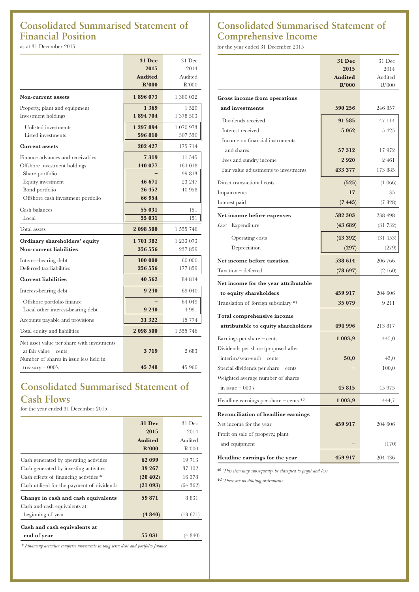# **Consolidated Summarised Statement of Financial Position**

as at 31 December 2015

|                                            | 31 Dec         | 31 Dec    |
|--------------------------------------------|----------------|-----------|
|                                            | 2015           | 2014      |
|                                            | <b>Audited</b> | Audited   |
|                                            | R'000          | R'000     |
| Non-current assets                         | 1896073        | 1 380 032 |
| Property, plant and equipment              | 1 3 6 9        | 1529      |
| Investment holdings                        | 1894704        | 1 378 503 |
| Unlisted investments                       | 1 297 894      | 1 070 973 |
| Listed investments                         | 596 810        | 307 530   |
| <b>Current assets</b>                      | 202 427        | 175 714   |
| Finance advances and receivables           | 7319           | 11 545    |
| Offshore investment holdings               | 140 077        | 164 018   |
| Share portfolio                            |                | 99813     |
| Equity investment                          | 46 671         | 23 247    |
| Bond portfolio                             | 26 452         | 40 958    |
| Offshore cash investment portfolio         | 66 954         |           |
| Cash balances                              | 55 031         | 151       |
| Local                                      | 55 031         | 151       |
| Total assets                               | 2 098 500      | 1 555 746 |
| Ordinary shareholders' equity              | 1701382        | 1 233 073 |
| <b>Non-current liabilities</b>             | 356 556        | 237 859   |
| Interest-bearing debt                      | 100 000        | 60 000    |
| Deferred tax liabilities                   | 256 556        | 177 859   |
| <b>Current liabilities</b>                 | 40 562         | 84 814    |
| Interest-bearing debt                      | 9 2 4 0        | 69 040    |
| Offshore portfolio finance                 |                | 64 049    |
| Local other interest-bearing debt          | 9 2 4 0        | 4 991     |
| Accounts payable and provisions            | 31 322         | 15 7 7 4  |
| Total equity and liabilities               | 2 098 500      | 1 555 746 |
| Net asset value per share with investments |                |           |
| at fair value $-$ cents                    | 3719           | 2683      |
| Number of shares in issue less held in     |                |           |
| treasury $-000$ 's                         | 45 748         | 45 960    |

# **Consolidated Summarised Statement of Cash Flows**

for the year ended 31 December 2015

|                                            | <b>31 Dec</b>  | 31 Dec   |
|--------------------------------------------|----------------|----------|
|                                            | 2015           | 2014     |
|                                            | <b>Audited</b> | Audited  |
|                                            | R'000          | R'000    |
| Cash generated by operating activities     | 62 099         | 19 7 13  |
| Cash generated by investing activities     | 39 267         | 37 102   |
| Cash effects of financing activities *     | (20 402)       | 16378    |
| Cash utilised for the payment of dividends | (21093)        | (64 362) |
| Change in cash and cash equivalents        | 59 871         | 8 8 3 1  |
| Cash and cash equivalents at               |                |          |
| beginning of year                          | (4840)         | (13671)  |
| Cash and cash equivalents at               |                |          |
| end of year                                | 55 031         | (4 840)  |
|                                            |                |          |

*\* Financing activities comprise movements in long-term debt and portfolio finance.*

# **Consolidated Summarised Statement of Comprehensive Income**

for the year ended 31 December 2015

|                                            | <b>31 Dec</b>  | 31 Dec  |
|--------------------------------------------|----------------|---------|
|                                            | 2015           | 2014    |
|                                            | <b>Audited</b> | Audited |
|                                            | R'000          | R'000   |
| Gross income from operations               |                |         |
| and investments                            | 590 256        | 246 857 |
| Dividends received                         | 91 585         | 47 114  |
| Interest received                          | 5 0 6 2        | 5425    |
| Income on financial instruments            |                |         |
| and shares                                 | 57 312         | 17972   |
| Fees and sundry income                     | 2920           | 2461    |
| Fair value adjustments to investments      | 433 377        | 173 885 |
| Direct transactional costs                 | (525)          | (1066)  |
| Impairments                                | 17             | 35      |
| Interest paid                              | (7445)         | (7 328) |
| Net income before expenses                 | 582 303        | 238 498 |
| Expenditure<br>Less:                       | (43689)        | (31732) |
| Operating costs                            | (43 392)       | (31453) |
| Depreciation                               | (297)          | (279)   |
| Net income before taxation                 | 538 614        | 206 766 |
| Taxation – deferred                        | (78697)        | (2160)  |
| Net income for the year attributable       |                |         |
| to equity shareholders                     | 459 917        | 204 606 |
| Translation of foreign subsidiary *1       | 35 079         | 9 2 1 1 |
| Total comprehensive income                 |                |         |
| attributable to equity shareholders        | 494 996        | 213817  |
| Earnings per share $-$ cents               | 1 003,9        | 445,0   |
| Dividends per share (proposed after        |                |         |
| $interim/year-end$ – cents                 | 50,0           | 43,0    |
| Special dividends per share $-$ cents      |                | 100,0   |
| Weighted average number of shares          |                |         |
| in issue $-000$ 's                         | 45 815         | 45 975  |
| Headline earnings per share $-$ cents $*2$ | 1 003,9        | 444,7   |
| Reconciliation of headline earnings        |                |         |
| Net income for the year                    | 459 917        | 204 606 |
| Profit on sale of property, plant          |                |         |
| and equipment                              |                | (170)   |
|                                            |                |         |
| Headline earnings for the year             | 459 917        | 204 436 |

\*1 *This item may subsequently be classified to profit and loss.*

\*2 *There are no diluting instruments.*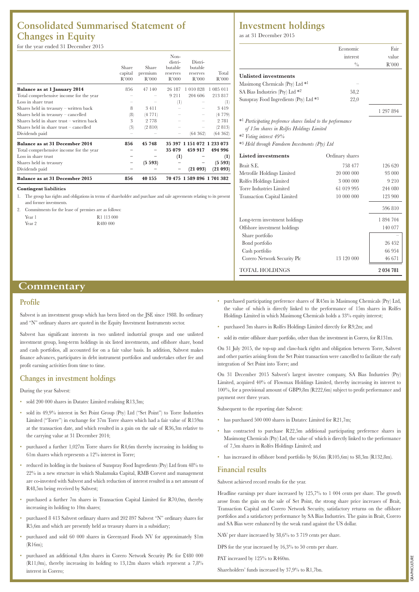## **Consolidated Summarised Statement of Changes in Equity**

#### for the year ended 31 December 2015

| <b>Balance as at 31 December 2015</b>     | 856              | 40 155           |                   | 70 475 1 589 896 1 701 382 |                |
|-------------------------------------------|------------------|------------------|-------------------|----------------------------|----------------|
| Dividends paid                            |                  |                  |                   | (21093)                    | (21093)        |
| Shares held in treasury                   |                  | (5593)           |                   |                            | (5593)         |
| Loss in share trust                       |                  |                  | (1)               |                            | (1)            |
| Total comprehensive income for the year   |                  |                  | 35 079            | 459 917                    | 494 996        |
| <b>Balance as at 31 December 2014</b>     | 856              | 45 748           |                   | 35 397 1 151 072 1 233 073 |                |
| Dividends paid                            |                  |                  |                   | (64362)                    | (64362)        |
| Shares held in share trust $-$ cancelled  | (3)              | (2 810)          |                   |                            | (2813)         |
| Shares held in share trust - written back | 3                | 2 7 7 8          |                   |                            | 2 7 8 1        |
| Shares held in treasury - cancelled       | (8)              | (4771)           |                   |                            | (4 779)        |
| Shares held in treasury - written back    | 8                | 3411             |                   |                            | 3419           |
| Loss in share trust                       |                  |                  | $^{(1)}$          |                            | (1)            |
| Total comprehensive income for the year   |                  |                  | 9 2 1 1           | 204 606                    | 213817         |
| Balance as at 1 January 2014              | 856              | 47 140           | 26 187            | 1010828                    | 1 085 011      |
|                                           | capital<br>R'000 | premium<br>R'000 | reserves<br>R'000 | reserves<br>R'000          | Total<br>R'000 |
|                                           | Share            | Share            | butable           | butable                    |                |
|                                           |                  |                  | distri-           | Distri-                    |                |
|                                           |                  |                  | Non-              |                            |                |

#### **Contingent liabilities**

1. The group has rights and obligations in terms of shareholder and purchase and sale agreements relating to its present and former investments.

2. Commitments for the lease of premises are as follows:

| Year 1 | R1 113 000           |
|--------|----------------------|
| Year 2 | R <sub>480</sub> 000 |

### **Investment holdings**

as at 31 December 2015

|                                                                          | Economic        | Fair      |
|--------------------------------------------------------------------------|-----------------|-----------|
|                                                                          | interest        | value     |
|                                                                          | $^{0}/_{0}$     | R'000     |
| <b>Unlisted investments</b>                                              |                 |           |
| Masimong Chemicals (Pty) Ltd *1                                          |                 |           |
| SA Bias Industries (Pty) Ltd *2                                          | 58,2            |           |
| Sunspray Food Ingredients (Pty) Ltd *3                                   | 22,0            |           |
|                                                                          |                 | 1 297 894 |
| * <sup>1</sup> Participating preference shares linked to the performance |                 |           |
| of 15m shares in Rolfes Holdings Limited                                 |                 |           |
| *2 Voting interest 49%                                                   |                 |           |
| * <sup>3</sup> Held through Famdeem Investments (Pty) Ltd                |                 |           |
| <b>Listed</b> investments                                                | Ordinary shares |           |
| Brait S.E.                                                               | 758 477         | 126 620   |
| Metrofile Holdings Limited                                               | 20 000 000      | 93 000    |
| Rolfes Holdings Limited                                                  | 3 000 000       | 9 2 1 0   |
| <b>Torre Industries Limited</b>                                          | 61 019 995      | 244 080   |
| <b>Transaction Capital Limited</b>                                       | 10 000 000      | 123 900   |
|                                                                          |                 | 596810    |
| Long-term investment holdings                                            |                 | 1 894 704 |
| Offshore investment holdings                                             |                 | 140 077   |
| Share portfolio                                                          |                 |           |
| Bond portfolio                                                           |                 | 26 452    |
| Cash portfolio                                                           |                 | 66 954    |
| Corero Network Security Plc                                              | 13 120 000      | 46 671    |
| TOTAL HOLDINGS                                                           |                 | 2 034 781 |

### **Commentary**

#### **Profile**

Sabvest is an investment group which has been listed on the JSE since 1988. Its ordinary and "N" ordinary shares are quoted in the Equity Investment Instruments sector.

Sabvest has significant interests in two unlisted industrial groups and one unlisted investment group, long-term holdings in six listed investments, and offshore share, bond and cash portfolios, all accounted for on a fair value basis. In addition, Sabvest makes finance advances, participates in debt instrument portfolios and undertakes other fee and profit earning activities from time to time.

#### **Changes in investment holdings**

#### During the year Sabvest:

- sold 200 000 shares in Datatec Limited realising R13,3m;
- sold its 49,9% interest in Set Point Group (Pty) Ltd ("Set Point") to Torre Industries Limited ("Torre") in exchange for 37m Torre shares which had a fair value of R159m at the transaction date, and which resulted in a gain on the sale of R36,3m relative to the carrying value at 31 December 2014;
- purchased a further 1,027m Torre shares for R4,6m thereby increasing its holding to 61m shares which represents a 12% interest in Torre;
- reduced its holding in the business of Sunspray Food Ingredients (Pty) Ltd from 48% to 22% in a new structure in which Shalamuka Capital, RMB Corvest and management are co-invested with Sabvest and which reduction of interest resulted in a net amount of R48,5m being received by Sabvest;
- purchased a further 7m shares in Transaction Capital Limited for R70,0m, thereby increasing its holding to 10m shares;
- purchased 8 413 Sabvest ordinary shares and 202 897 Sabvest "N" ordinary shares for R5,6m and which are presently held as treasury shares in a subsidiary;
- purchased and sold 60 000 shares in Greenyard Foods NV for approximately \$1m (R16m);
- purchased an additional 4,8m shares in Corero Network Security Plc for £480 000 (R11,0m), thereby increasing its holding to 13,12m shares which represent a 7,8% interest in Corero;
- purchased participating preference shares of R45m in Masimong Chemicals (Pty) Ltd, the value of which is directly linked to the performance of 15m shares in Rolfes Holdings Limited in which Masimong Chemicals holds a 33% equity interest;
- purchased 3m shares in Rolfes Holdings Limited directly for R9,2m; and
- sold its entire offshore share portfolio, other than the investment in Corero, for R131m.

On 31 July 2015, the top-up and claw-back rights and obligation between Torre, Sabvest and other parties arising from the Set Point transaction were cancelled to facilitate the early integration of Set Point into Torre; and

On 31 December 2015 Sabvest's largest investee company, SA Bias Industries (Pty) Limited, acquired 40% of Flowmax Holdings Limited, thereby increasing its interest to 100%, for a provisional amount of GBP9,8m (R222,6m) subject to profit performance and payment over three years.

Subsequent to the reporting date Sabvest:

- has purchased 500 000 shares in Datatec Limited for R21,7m;
- has contracted to purchase R22,5m additional participating preference shares in Masimong Chemicals (Pty) Ltd, the value of which is directly linked to the performance of 7,5m shares in Rolfes Holdings Limited; and
- has increased its offshore bond portfolio by \$6,6m (R105,6m) to \$8,3m (R132,8m).

#### **Financial results**

Sabvest achieved record results for the year.

Headline earnings per share increased by 125,7% to 1 004 cents per share. The growth arose from the gain on the sale of Set Point, the strong share price increases of Brait, Transaction Capital and Corero Network Security, satisfactory returns on the offshore portfolios and a satisfactory performance by SA Bias Industries. The gains in Brait, Corero and SA Bias were enhanced by the weak rand against the US dollar.

NAV per share increased by 38,6% to 3 719 cents per share.

DPS for the year increased by 16,3% to 50 cents per share.

PAT increased by 125% to R460m.

Shareholders' funds increased by 37,9% to R1,7bn.